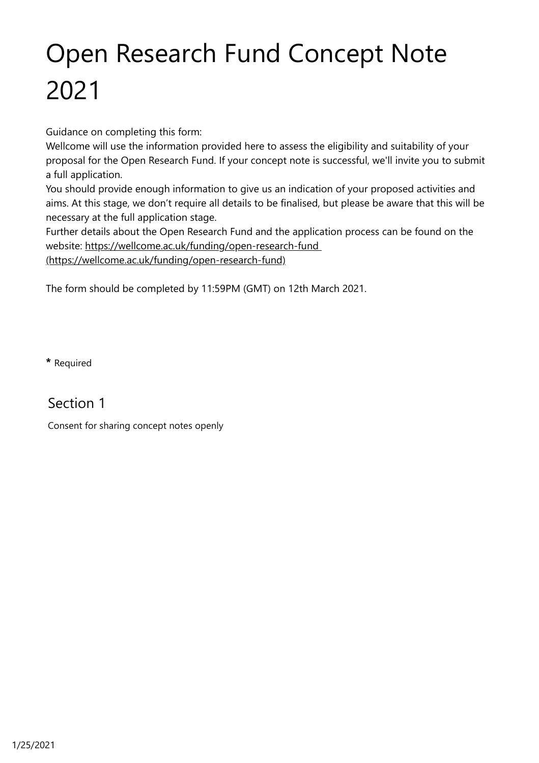## Open Research Fund Concept Note 2021

Guidance on completing this form:

Wellcome will use the information provided here to assess the eligibility and suitability of your proposal for the Open Research Fund. If your concept note is successful, we'll invite you to submit a full application.

You should provide enough information to give us an indication of your proposed activities and aims. At this stage, we don't require all details to be finalised, but please be aware that this will be necessary at the full application stage.

Further details about the Open Research Fund and the application process can be found on the [website: https://wellcome.ac.uk/funding/open-research-fund](https://wellcome.ac.uk/funding/open-research-fund)

(https://wellcome.ac.uk/funding/open-research-fund)

The form should be completed by 11:59PM (GMT) on 12th March 2021.

**\*** Required

Section 1

Consent for sharing concept notes openly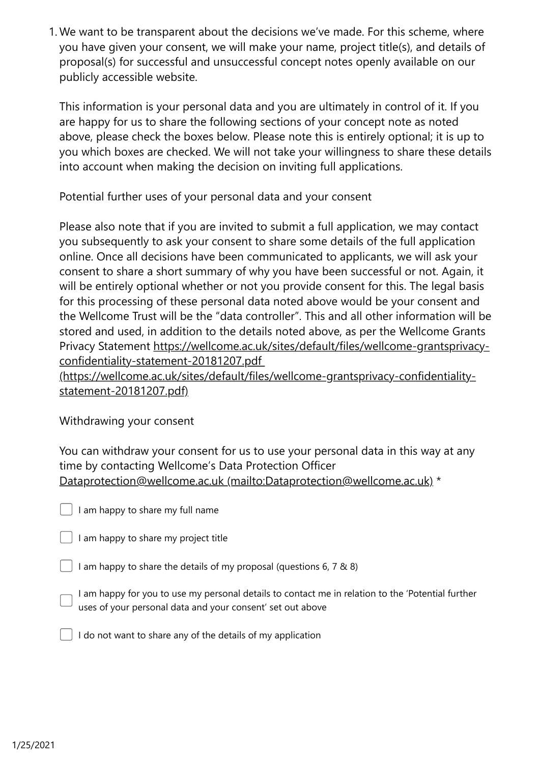We want to be transparent about the decisions we've made. For this scheme, where 1. you have given your consent, we will make your name, project title(s), and details of proposal(s) for successful and unsuccessful concept notes openly available on our publicly accessible website.

This information is your personal data and you are ultimately in control of it. If you are happy for us to share the following sections of your concept note as noted above, please check the boxes below. Please note this is entirely optional; it is up to you which boxes are checked. We will not take your willingness to share these details into account when making the decision on inviting full applications.

Potential further uses of your personal data and your consent

Please also note that if you are invited to submit a full application, we may contact you subsequently to ask your consent to share some details of the full application online. Once all decisions have been communicated to applicants, we will ask your consent to share a short summary of why you have been successful or not. Again, it will be entirely optional whether or not you provide consent for this. The legal basis for this processing of these personal data noted above would be your consent and the Wellcome Trust will be the "data controller". This and all other information will be stored and used, in addition to the details noted above, as per the Wellcome Grants [Privacy Statement https://wellcome.ac.uk/sites/default/files/wellcome-grantsprivacy](https://wellcome.ac.uk/sites/default/files/wellcome-grantsprivacy-confidentiality-statement-20181207.pdf)confidentiality-statement-20181207.pdf

(https://wellcome.ac.uk/sites/default/files/wellcome-grantsprivacy-confidentialitystatement-20181207.pdf)

## Withdrawing your consent

You can withdraw your consent for us to use your personal data in this way at any time by contacting Wellcome's Data Protection Officer [Dataprotection@wellcome.ac.uk \(mailto:Dataprotection@wellcome.ac.uk\)](mailto:Dataprotection@wellcome.ac.uk) \*

I am happy to share my full name

I am happy to share my project title

I am happy to share the details of my proposal (questions 6, 7 & 8)

I am happy for you to use my personal details to contact me in relation to the 'Potential further uses of your personal data and your consent' set out above

I do not want to share any of the details of my application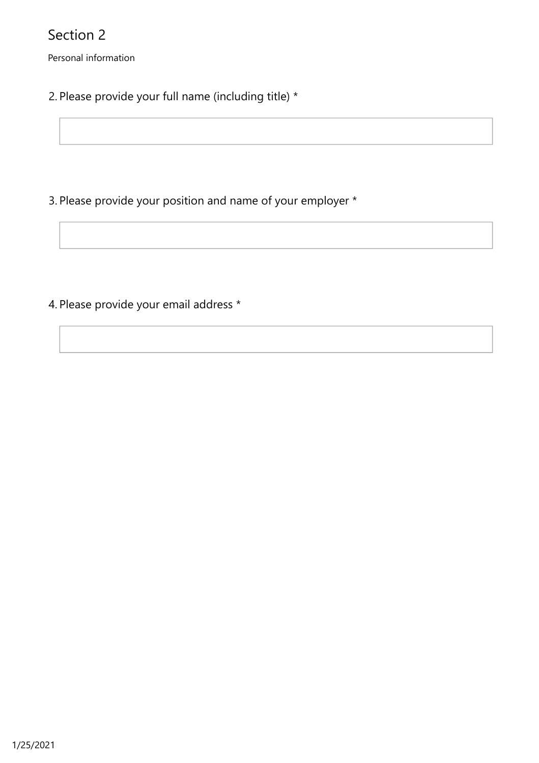Personal information

2. Please provide your full name (including title) \*

3. Please provide your position and name of your employer \*

4. Please provide your email address \*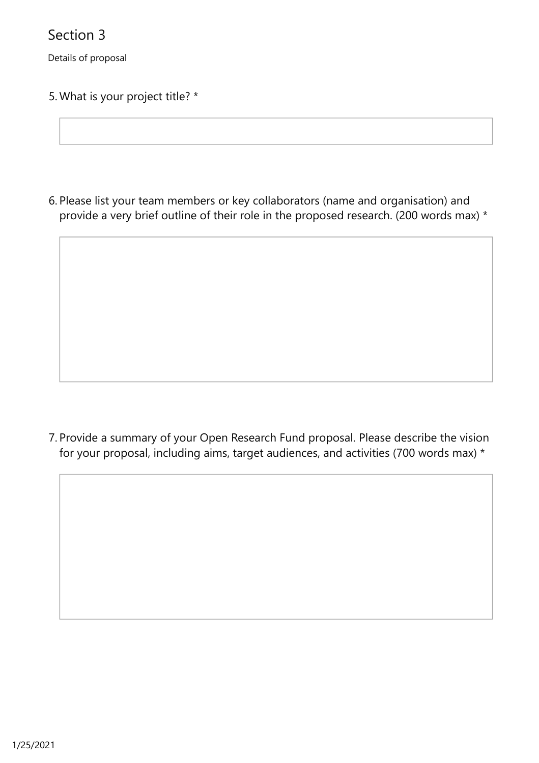Details of proposal

5. What is your project title? \*

6. Please list your team members or key collaborators (name and organisation) and provide a very brief outline of their role in the proposed research. (200 words max) \*

Provide a summary of your Open Research Fund proposal. Please describe the vision 7. for your proposal, including aims, target audiences, and activities (700 words max) \*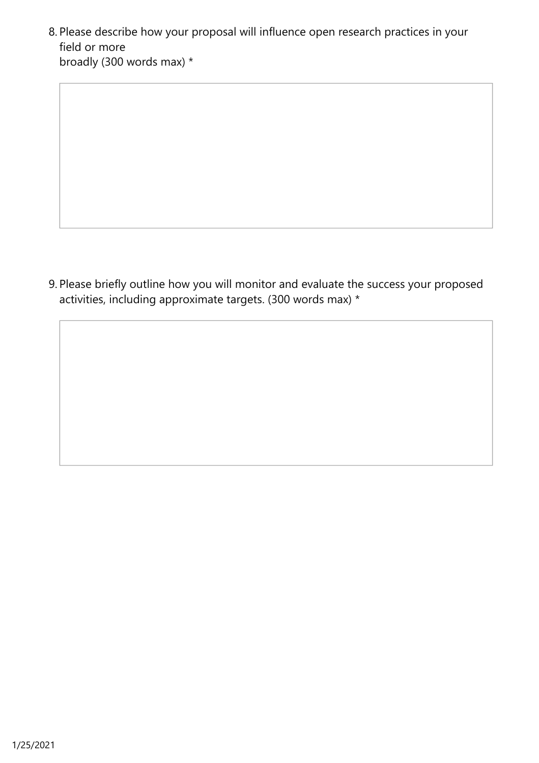Please describe how your proposal will influence open research practices in your 8. field or more broadly (300 words max) \*

Please briefly outline how you will monitor and evaluate the success your proposed 9. activities, including approximate targets. (300 words max) \*